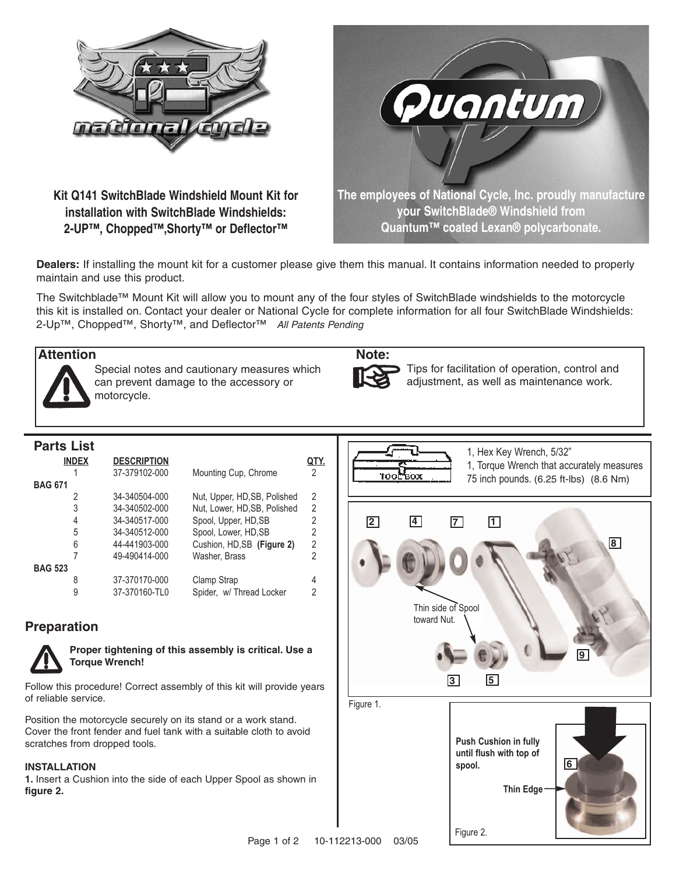

**Kit Q141 SwitchBlade Windshield Mount Kit for installation with SwitchBlade Windshields: 2-UP™, Chopped™,Shorty™ or Deflector™**



**Dealers:** If installing the mount kit for a customer please give them this manual. It contains information needed to properly maintain and use this product.

The Switchblade™ Mount Kit will allow you to mount any of the four styles of SwitchBlade windshields to the motorcycle this kit is installed on. Contact your dealer or National Cycle for complete information for all four SwitchBlade Windshields: 2-Up™, Chopped™, Shorty™, and Deflector™ All Patents Pending

## **Attention Note:**



Special notes and cautionary measures which can prevent damage to the accessory or motorcycle.



Tips for facilitation of operation, control and adjustment, as well as maintenance work.

### **Parts List**

|                | <b>INDEX</b> | <b>DESCRIPTION</b> |                              |                |
|----------------|--------------|--------------------|------------------------------|----------------|
|                |              | 37-379102-000      | Mounting Cup, Chrome         | 2              |
| <b>BAG 671</b> |              |                    |                              |                |
|                | 2            | 34-340504-000      | Nut, Upper, HD, SB, Polished | $\mathfrak{p}$ |
|                | 3            | 34-340502-000      | Nut, Lower, HD,SB, Polished  | $\overline{2}$ |
|                | 4            | 34-340517-000      | Spool, Upper, HD, SB         | 2              |
|                | 5            | 34-340512-000      | Spool, Lower, HD,SB          | 2              |
|                | 6            | 44-441903-000      | Cushion, HD, SB (Figure 2)   | $\mathfrak{p}$ |
|                |              | 49-490414-000      | Washer, Brass                | 2              |
| <b>BAG 523</b> |              |                    |                              |                |
|                | 8            | 37-370170-000      | Clamp Strap                  | 4              |
|                | 9            | 37-370160-TL0      | Spider, w/ Thread Locker     | 2              |
|                |              |                    |                              |                |

# **Preparation**



**Proper tightening of this assembly is critical. Use a Torque Wrench!** 

Follow this procedure! Correct assembly of this kit will provide years of reliable service.

Position the motorcycle securely on its stand or a work stand. Cover the front fender and fuel tank with a suitable cloth to avoid scratches from dropped tools.

#### **INSTALLATION**

**1.** Insert a Cushion into the side of each Upper Spool as shown in **figure 2.**